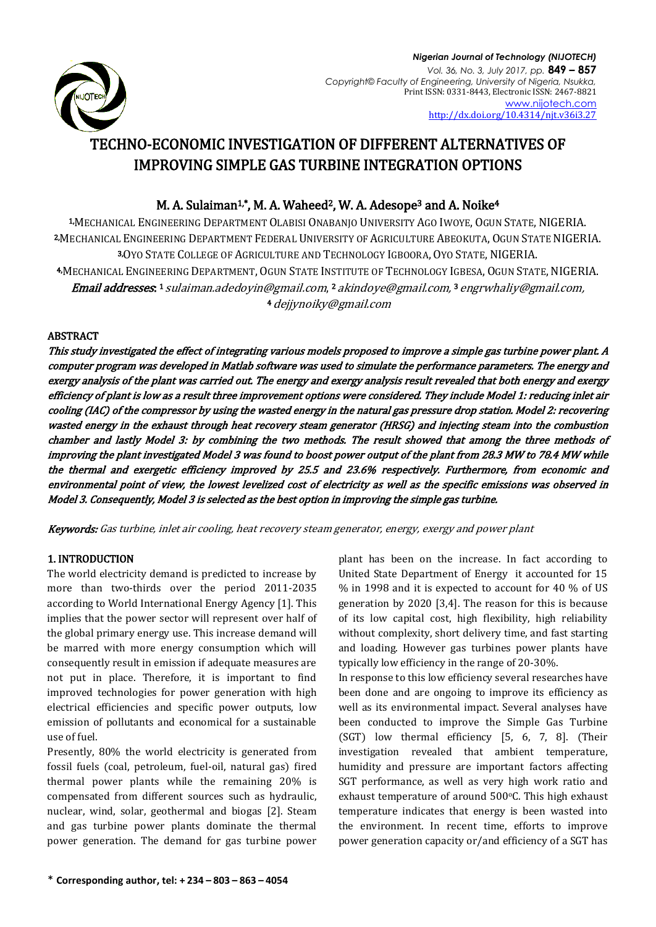

*Nigerian Journal of Technology (NIJOTECH) Vol. 36, No. 3, July 2017, pp.* **849 – 857** *Copyright© Faculty of Engineering, University of Nigeria, Nsukka,*  Print ISSN: 0331-8443, Electronic ISSN: 2467-8821 [www.nijotech.com](http://www.nijotech.com/) <http://dx.doi.org/10.4314/njt.v36i3.27>

# TECHNO-ECONOMIC INVESTIGATION OF DIFFERENT ALTERNATIVES OF IMPROVING SIMPLE GAS TURBINE INTEGRATION OPTIONS

## M. A. Sulaiman<sup>1,\*</sup>, M. A. Waheed<sup>2</sup>, W. A. Adesope<sup>3</sup> and A. Noike<sup>4</sup>

1,MECHANICAL ENGINEERING DEPARTMENT OLABISI ONABANJO UNIVERSITY AGO IWOYE, OGUN STATE, NIGERIA. 2,MECHANICAL ENGINEERING DEPARTMENT FEDERAL UNIVERSITY OF AGRICULTURE ABEOKUTA, OGUN STATE NIGERIA. 3,OYO STATE COLLEGE OF AGRICULTURE AND TECHNOLOGY IGBOORA, OYO STATE, NIGERIA. 4,MECHANICAL ENGINEERING DEPARTMENT, OGUN STATE INSTITUTE OF TECHNOLOGY IGBESA, OGUN STATE, NIGERIA. **Email addresses.** 1 [sulaiman.adedoyin@gmail.com](mailto:sulaiman.adedoyin@gmail.com), 2 [akindoye@gmail.com,](mailto:akindoye@gmail.com) 3 [engrwhaliy@gmail.com,](mailto:engrwhaliy@gmail.com) <sup>4</sup>[dejjynoiky@gmail.com](mailto:4%20dejjynoiky@gmail.com)

## ABSTRACT

This study investigated the effect of integrating various models proposed to improve a simple gas turbine power plant. A computer program was developed in Matlab software was used to simulate the performance parameters. The energy and exergy analysis of the plant was carried out. The energy and exergy analysis result revealed that both energy and exergy efficiency of plant is low as a result three improvement options were considered. They include Model 1: reducing inlet air cooling (IAC) of the compressor by using the wasted energy in the natural gas pressure drop station. Model 2: recovering wasted energy in the exhaust through heat recovery steam generator (HRSG) and injecting steam into the combustion chamber and lastly Model 3: by combining the two methods. The result showed that among the three methods of improving the plant investigated Model 3 was found to boost power output of the plant from 28.3 MW to 78.4 MW while the thermal and exergetic efficiency improved by 25.5 and 23.6% respectively. Furthermore, from economic and environmental point of view, the lowest levelized cost of electricity as well as the specific emissions was observed in Model 3. Consequently, Model 3 is selected as the best option in improving the simple gas turbine.

Keywords: Gas turbine, inlet air cooling, heat recovery steam generator, energy, exergy and power plant

## 1. INTRODUCTION

The world electricity demand is predicted to increase by more than two-thirds over the period 2011-2035 according to World International Energy Agency [1]. This implies that the power sector will represent over half of the global primary energy use. This increase demand will be marred with more energy consumption which will consequently result in emission if adequate measures are not put in place. Therefore, it is important to find improved technologies for power generation with high electrical efficiencies and specific power outputs, low emission of pollutants and economical for a sustainable use of fuel.

Presently, 80% the world electricity is generated from fossil fuels (coal, petroleum, fuel-oil, natural gas) fired thermal power plants while the remaining 20% is compensated from different sources such as hydraulic, nuclear, wind, solar, geothermal and biogas [2]. Steam and gas turbine power plants dominate the thermal power generation. The demand for gas turbine power plant has been on the increase. In fact according to United State Department of Energy it accounted for 15 % in 1998 and it is expected to account for 40 % of US generation by 2020 [3,4]. The reason for this is because of its low capital cost, high flexibility, high reliability without complexity, short delivery time, and fast starting and loading. However gas turbines power plants have typically low efficiency in the range of 20-30%.

In response to this low efficiency several researches have been done and are ongoing to improve its efficiency as well as its environmental impact. Several analyses have been conducted to improve the Simple Gas Turbine (SGT) low thermal efficiency [5, 6, 7, 8]. (Their investigation revealed that ambient temperature, humidity and pressure are important factors affecting SGT performance, as well as very high work ratio and exhaust temperature of around 500°C. This high exhaust temperature indicates that energy is been wasted into the environment. In recent time, efforts to improve power generation capacity or/and efficiency of a SGT has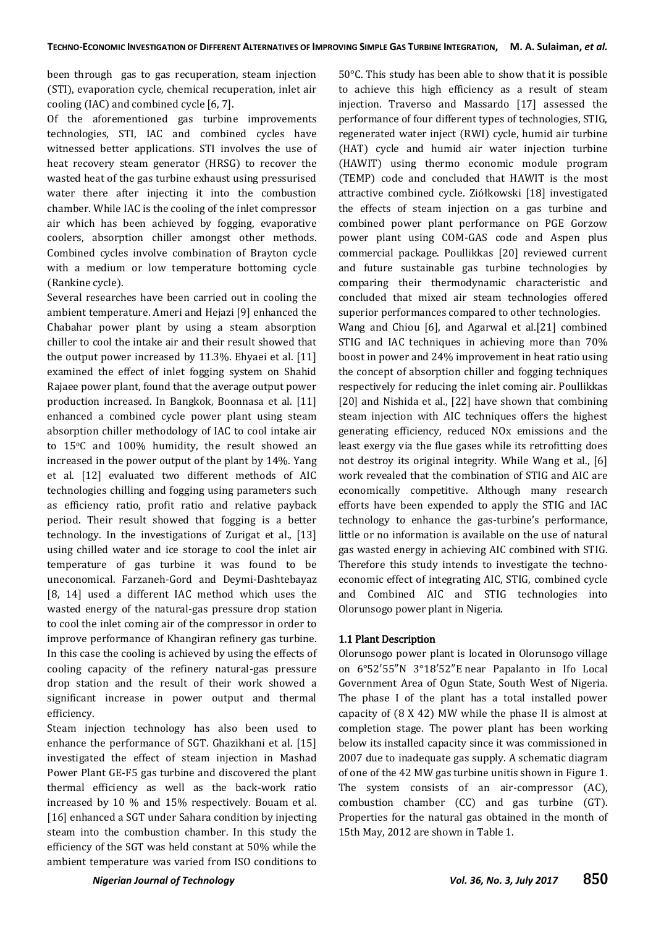been through gas to gas recuperation, steam injection (STI), evaporation cycle, chemical recuperation, inlet air cooling (IAC) and combined cycle [6, 7].

Of the aforementioned gas turbine improvements technologies, STI, IAC and combined cycles have witnessed better applications. STI involves the use of heat recovery steam generator (HRSG) to recover the wasted heat of the gas turbine exhaust using pressurised water there after injecting it into the combustion chamber. While IAC is the cooling of the inlet compressor air which has been achieved by fogging, evaporative coolers, absorption chiller amongst other methods. Combined cycles involve combination of Brayton cycle with a medium or low temperature bottoming cycle (Rankine cycle).

Several researches have been carried out in cooling the ambient temperature. Ameri and Hejazi [9] enhanced the Chabahar power plant by using a steam absorption chiller to cool the intake air and their result showed that the output power increased by 11.3%. Ehyaei et al. [11] examined the effect of inlet fogging system on Shahid Rajaee power plant, found that the average output power production increased. In Bangkok, Boonnasa et al. [11] enhanced a combined cycle power plant using steam absorption chiller methodology of IAC to cool intake air to 15oC and 100% humidity, the result showed an increased in the power output of the plant by 14%. Yang et al. [12] evaluated two different methods of AIC technologies chilling and fogging using parameters such as efficiency ratio, profit ratio and relative payback period. Their result showed that fogging is a better technology. In the investigations of Zurigat et al., [13] using chilled water and ice storage to cool the inlet air temperature of gas turbine it was found to be uneconomical. Farzaneh-Gord and Deymi-Dashtebayaz [8, 14] used a different IAC method which uses the wasted energy of the natural-gas pressure drop station to cool the inlet coming air of the compressor in order to improve performance of Khangiran refinery gas turbine. In this case the cooling is achieved by using the effects of cooling capacity of the refinery natural-gas pressure drop station and the result of their work showed a significant increase in power output and thermal efficiency.

Steam injection technology has also been used to enhance the performance of SGT. Ghazikhani et al. [15] investigated the effect of steam injection in Mashad Power Plant GE-F5 gas turbine and discovered the plant thermal efficiency as well as the back-work ratio increased by 10 % and 15% respectively. Bouam et al. [16] enhanced a SGT under Sahara condition by injecting steam into the combustion chamber. In this study the efficiency of the SGT was held constant at 50% while the ambient temperature was varied from ISO conditions to

50°C. This study has been able to show that it is possible to achieve this high efficiency as a result of steam injection. Traverso and Massardo [17] assessed the performance of four different types of technologies, STIG, regenerated water inject (RWI) cycle, humid air turbine (HAT) cycle and humid air water injection turbine (HAWIT) using thermo economic module program (TEMP) code and concluded that HAWIT is the most attractive combined cycle. Ziółkowski [18] investigated the effects of steam injection on a gas turbine and combined power plant performance on PGE Gorzow power plant using COM-GAS code and Aspen plus commercial package. Poullikkas [20] reviewed current and future sustainable gas turbine technologies by comparing their thermodynamic characteristic and concluded that mixed air steam technologies offered superior performances compared to other technologies.

Wang and Chiou [6], and Agarwal et al.[21] combined STIG and IAC techniques in achieving more than 70% boost in power and 24% improvement in heat ratio using the concept of absorption chiller and fogging techniques respectively for reducing the inlet coming air. Poullikkas [20] and Nishida et al., [22] have shown that combining steam injection with AIC techniques offers the highest generating efficiency, reduced NOx emissions and the least exergy via the flue gases while its retrofitting does not destroy its original integrity. While Wang et al., [6] work revealed that the combination of STIG and AIC are economically competitive. Although many research efforts have been expended to apply the STIG and IAC technology to enhance the gas-turbine's performance, little or no information is available on the use of natural gas wasted energy in achieving AIC combined with STIG. Therefore this study intends to investigate the technoeconomic effect of integrating AIC, STIG, combined cycle and Combined AIC and STIG technologies into Olorunsogo power plant in Nigeria.

## 1.1 Plant Description

Olorunsogo power plant is located in Olorunsogo village on 6°52′55″N 3°18′52″E near Papalanto in Ifo Local Government Area of Ogun State, South West of Nigeria. The phase I of the plant has a total installed power capacity of (8 X 42) MW while the phase II is almost at completion stage. The power plant has been working below its installed capacity since it was commissioned in 2007 due to inadequate gas supply. A schematic diagram of one of the 42 MW gas turbine unitis shown in Figure 1. The system consists of an air-compressor (AC), combustion chamber (CC) and gas turbine (GT). Properties for the natural gas obtained in the month of 15th May, 2012 are shown in Table 1.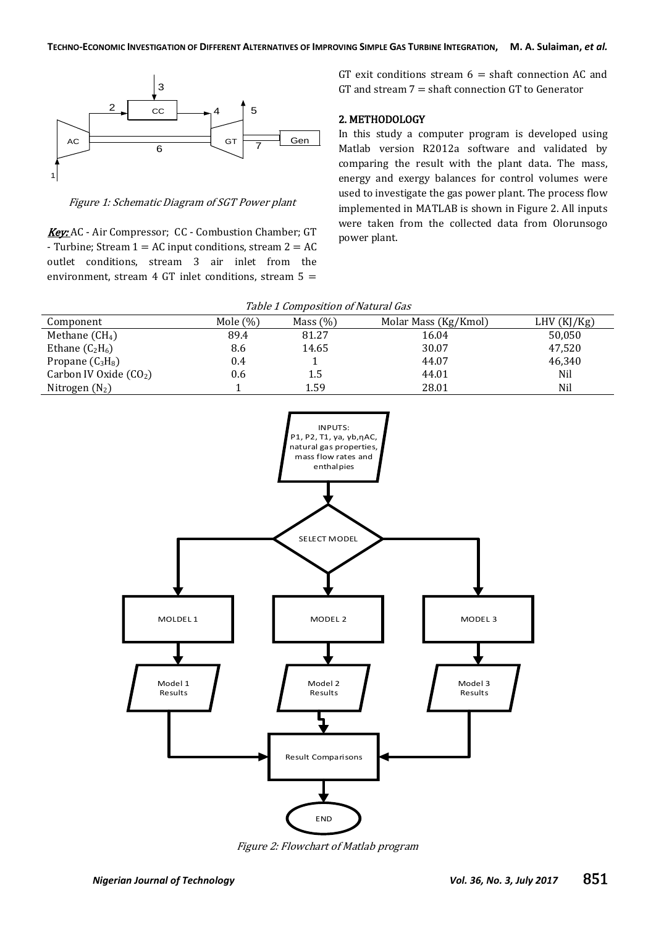

Figure 1: Schematic Diagram of SGT Power plant

Key: AC - Air Compressor; CC - Combustion Chamber; GT - Turbine; Stream  $1 = AC$  input conditions, stream  $2 = AC$ outlet conditions, stream 3 air inlet from the environment, stream 4 GT inlet conditions, stream 5 =

GT exit conditions stream  $6 =$  shaft connection AC and GT and stream  $7 =$  shaft connection GT to Generator

## 2. METHODOLOGY

In this study a computer program is developed using Matlab version R2012a software and validated by comparing the result with the plant data. The mass, energy and exergy balances for control volumes were used to investigate the gas power plant. The process flow implemented in MATLAB is shown in Figure 2. All inputs were taken from the collected data from Olorunsogo power plant.

|  | Table 1 Composition of Natural Gas |  |  |
|--|------------------------------------|--|--|
|--|------------------------------------|--|--|

| Component               | Mole $(\%)$ | Mass $(\%)$ | Molar Mass (Kg/Kmol) | LHV(KJ/Kg) |
|-------------------------|-------------|-------------|----------------------|------------|
| Methane $(CH4)$         | 89.4        | 81.27       | 16.04                | 50,050     |
| Ethane $(C_2H_6)$       | 8.6         | 14.65       | 30.07                | 47,520     |
| Propane $(C_3H_8)$      | 0.4         |             | 44.07                | 46,340     |
| Carbon IV Oxide $(CO2)$ | 0.6         | 1.5         | 44.01                | Nil        |
| Nitrogen $(N_2)$        |             | 1.59        | 28.01                | Nil        |



Figure 2: Flowchart of Matlab program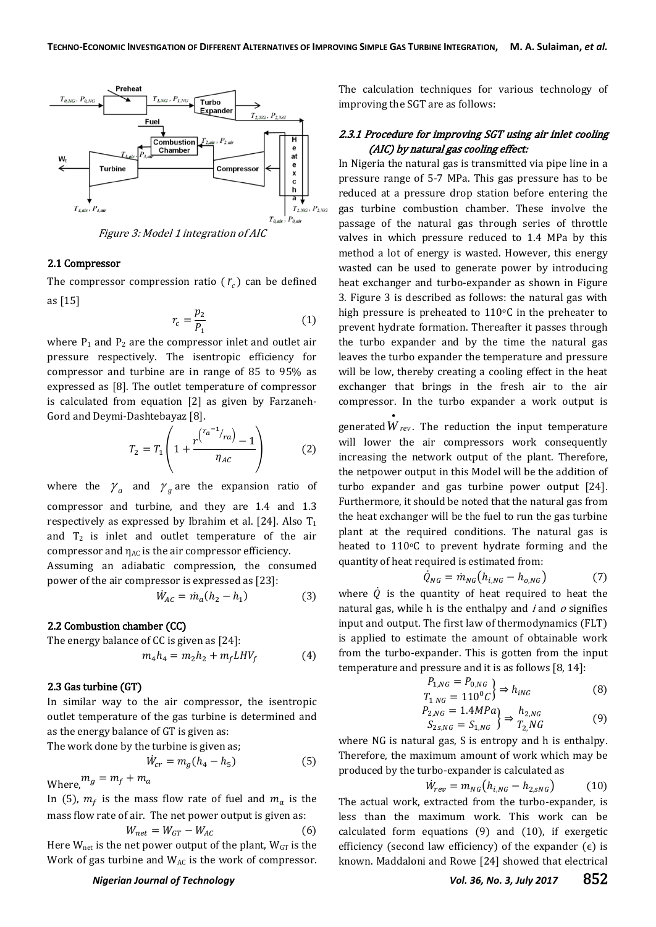

#### 2.1 Compressor

The compressor compression ratio  $(r_c)$  can be defined as [15]

$$
r_c = \frac{p_2}{P_1} \tag{1}
$$

where  $P_1$  and  $P_2$  are the compressor inlet and outlet air pressure respectively. The isentropic efficiency for compressor and turbine are in range of 85 to 95% as expressed as [8]. The outlet temperature of compressor is calculated from equation [2] as given by Farzaneh-Gord and Deymi-Dashtebayaz [8].

$$
T_2 = T_1 \left( 1 + \frac{r^{(r_a^{-1}/r_a)} - 1}{\eta_{AC}} \right)
$$
 (2)

where the  $\gamma_a$  and  $\gamma_g$  are the expansion ratio of compressor and turbine, and they are 1.4 and 1.3 respectively as expressed by Ibrahim et al. [24]. Also  $T_1$ and  $T_2$  is inlet and outlet temperature of the air compressor and  $\eta_{AC}$  is the air compressor efficiency.

Assuming an adiabatic compression, the consumed power of the air compressor is expressed as [23]:

$$
\dot{W}_{AC} = \dot{m}_a (h_2 - h_1) \tag{3}
$$

## 2.2 Combustion chamber (CC)

The energy balance of CC is given as [24]:

$$
m_4 h_4 = m_2 h_2 + m_f L H V_f \tag{4}
$$

## 2.3 Gas turbine (GT)

In similar way to the air compressor, the isentropic outlet temperature of the gas turbine is determined and as the energy balance of GT is given as:

The work done by the turbine is given as;

$$
\dot{W}_{cr} = m_g (h_4 - h_5) \tag{5}
$$

Where,  $m_g = m_f + m_a$ 

In (5),  $m_f$  is the mass flow rate of fuel and  $m_a$  is the mass flow rate of air. The net power output is given as:

$$
W_{net} = W_{GT} - W_{AC}
$$
 (6)

Here  $W_{net}$  is the net power output of the plant,  $W_{GT}$  is the Work of gas turbine and WAC is the work of compressor. The calculation techniques for various technology of improving the SGT are as follows:

## 2.3.1 Procedure for improving SGT using air inlet cooling (AIC) by natural gas cooling effect:

In Nigeria the natural gas is transmitted via pipe line in a pressure range of 5-7 MPa. This gas pressure has to be reduced at a pressure drop station before entering the gas turbine combustion chamber. These involve the passage of the natural gas through series of throttle valves in which pressure reduced to 1.4 MPa by this method a lot of energy is wasted. However, this energy wasted can be used to generate power by introducing heat exchanger and turbo-expander as shown in Figure 3. Figure 3 is described as follows: the natural gas with high pressure is preheated to  $110^{\circ}$ C in the preheater to prevent hydrate formation. Thereafter it passes through the turbo expander and by the time the natural gas leaves the turbo expander the temperature and pressure will be low, thereby creating a cooling effect in the heat exchanger that brings in the fresh air to the air compressor. In the turbo expander a work output is

generated *W rev* . The reduction the input temperature will lower the air compressors work consequently increasing the network output of the plant. Therefore, the netpower output in this Model will be the addition of turbo expander and gas turbine power output [24]. Furthermore, it should be noted that the natural gas from the heat exchanger will be the fuel to run the gas turbine plant at the required conditions. The natural gas is heated to  $110^{\circ}$ C to prevent hydrate forming and the quantity of heat required is estimated from:

$$
\dot{Q}_{NG} = \dot{m}_{NG} \left( h_{i,NG} - h_{o,NG} \right) \tag{7}
$$

where  $\dot{Q}$  is the quantity of heat required to heat the natural gas, while h is the enthalpy and  $i$  and  $o$  signifies input and output. The first law of thermodynamics (FLT) is applied to estimate the amount of obtainable work from the turbo-expander. This is gotten from the input temperature and pressure and it is as follows [8, 14]:

$$
\left\{\n \begin{aligned}\n P_{1,NG} &= P_{0,NG} \\
T_{1,NG} &= 110^0 C\n \end{aligned}\n \right\}\n \Rightarrow h_{iNG} \tag{8}
$$

$$
\begin{aligned} P_{2,NG} &= 1.4MPa \\ S_{2s,NG} &= S_{1,NG} \end{aligned} \Rightarrow \begin{aligned} h_{2,NG} \\ T_{2,NG} \end{aligned} \tag{9}
$$

where NG is natural gas, S is entropy and h is enthalpy. Therefore, the maximum amount of work which may be produced by the turbo-expander is calculated as

$$
\dot{W}_{rev} = m_{NG} (h_{i,NG} - h_{2, SNG}) \tag{10}
$$

The actual work, extracted from the turbo-expander, is less than the maximum work. This work can be calculated form equations (9) and (10), if exergetic efficiency (second law efficiency) of the expander  $(ε)$  is known. Maddaloni and Rowe [24] showed that electrical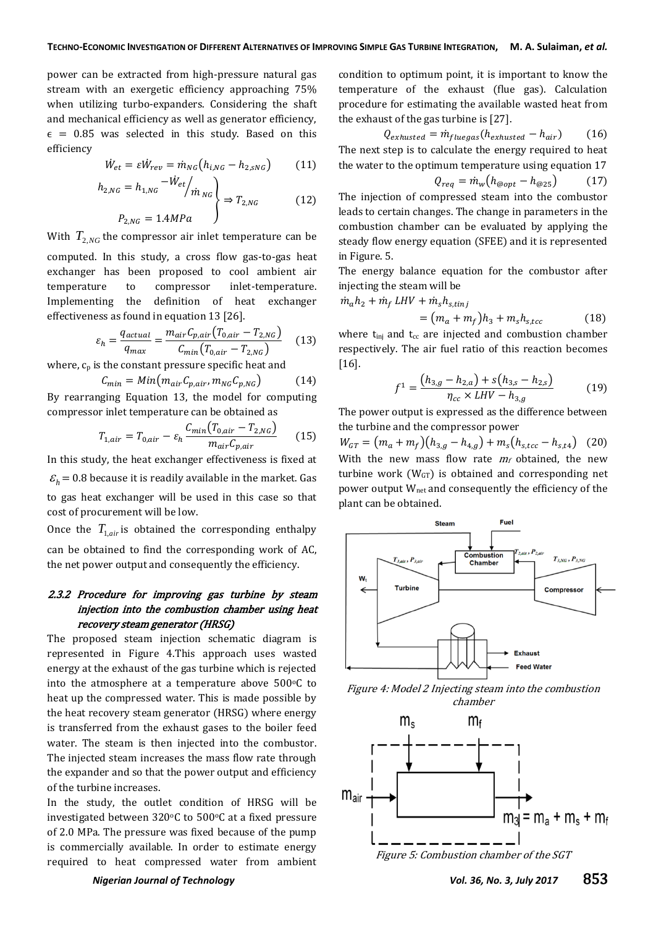power can be extracted from high-pressure natural gas stream with an exergetic efficiency approaching 75% when utilizing turbo-expanders. Considering the shaft and mechanical efficiency as well as generator efficiency,  $\epsilon$  = 0.85 was selected in this study. Based on this efficiency

$$
\dot{W}_{et} = \varepsilon \dot{W}_{rev} = \dot{m}_{NG} \left( h_{i,NG} - h_{2, SNG} \right) \tag{11}
$$

$$
h_{2,NG} = h_{1,NG} \frac{-\dot{W}_{et}}{m_{NG}} \rightarrow T_{2,NG}
$$
\n
$$
P_{2,NG} = 1.4 MPa
$$
\n(12)

With  $T_{2,NG}$  the compressor air inlet temperature can be computed. In this study, a cross flow gas-to-gas heat exchanger has been proposed to cool ambient air temperature to compressor inlet-temperature. Implementing the definition of heat exchanger effectiveness as found in equation 13 [26].

$$
\varepsilon_h = \frac{q_{actual}}{q_{max}} = \frac{m_{air}C_{p,air}(T_{0,air} - T_{2,NG})}{C_{min}(T_{0,air} - T_{2,NG})}
$$
(13)

where,  $c_p$  is the constant pressure specific heat and

$$
C_{min} = Min(m_{air}C_{p,air}, m_{NG}C_{p,NG})
$$
\n
$$
C_{min} = T_{m}C_{m} + 12, \text{ the model for a geometric}
$$

By rearranging Equation 13, the model for computing compressor inlet temperature can be obtained as

$$
T_{1,air} = T_{0,air} - \varepsilon_h \frac{C_{min}(T_{0,air} - T_{2,NG})}{m_{air}C_{p,air}}
$$
 (15)

In this study, the heat exchanger effectiveness is fixed at  $\mathcal{E}_h$  = 0.8 because it is readily available in the market. Gas to gas heat exchanger will be used in this case so that cost of procurement will be low.

Once the  $T_{1,air}$  is obtained the corresponding enthalpy can be obtained to find the corresponding work of AC, the net power output and consequently the efficiency.

## 2.3.2 Procedure for improving gas turbine by steam injection into the combustion chamber using heat recovery steam generator (HRSG)

The proposed steam injection schematic diagram is represented in Figure 4.This approach uses wasted energy at the exhaust of the gas turbine which is rejected into the atmosphere at a temperature above  $500^{\circ}$ C to heat up the compressed water. This is made possible by the heat recovery steam generator (HRSG) where energy is transferred from the exhaust gases to the boiler feed water. The steam is then injected into the combustor. The injected steam increases the mass flow rate through the expander and so that the power output and efficiency of the turbine increases.

In the study, the outlet condition of HRSG will be investigated between  $320^{\circ}$ C to  $500^{\circ}$ C at a fixed pressure of 2.0 MPa. The pressure was fixed because of the pump is commercially available. In order to estimate energy required to heat compressed water from ambient

condition to optimum point, it is important to know the temperature of the exhaust (flue gas). Calculation procedure for estimating the available wasted heat from the exhaust of the gas turbine is [27].

$$
Q_{exhusted} = \dot{m}_{fluegas} (h_{exhusted} - h_{air})
$$
 (16)  
The next step is to calculate the energy required to heat  
the water to the optimum temperature using equation 17

$$
Q_{req} = \dot{m}_w \big( h_{\text{@opt}} - h_{\text{@25}} \big) \tag{17}
$$

The injection of compressed steam into the combustor leads to certain changes. The change in parameters in the combustion chamber can be evaluated by applying the steady flow energy equation (SFEE) and it is represented in Figure. 5.

The energy balance equation for the combustor after injecting the steam will be

$$
\dot{m}_a h_2 + \dot{m}_f LHV + \dot{m}_s h_{s, tinj} \n= (m_a + m_f) h_3 + m_s h_{s, tcc}
$$
\n(18)

where  $t_{\text{ini}}$  and  $t_{\text{cc}}$  are injected and combustion chamber respectively. The air fuel ratio of this reaction becomes [16].

$$
f^{1} = \frac{(h_{3,g} - h_{2,a}) + s(h_{3,s} - h_{2,s})}{\eta_{cc} \times LHV - h_{3,g}}
$$
(19)

The power output is expressed as the difference between the turbine and the compressor power

 $W_{GT} = (m_a + m_f)(h_{3,q} - h_{4,q}) + m_s(h_{s,tcc} - h_{s,t4})$  (20) With the new mass flow rate  $m_f$  obtained, the new turbine work  $(W<sub>GT</sub>)$  is obtained and corresponding net power output Wnet and consequently the efficiency of the plant can be obtained.



Figure 4: Model 2 Injecting steam into the combustion chamber



Figure 5: Combustion chamber of the SGT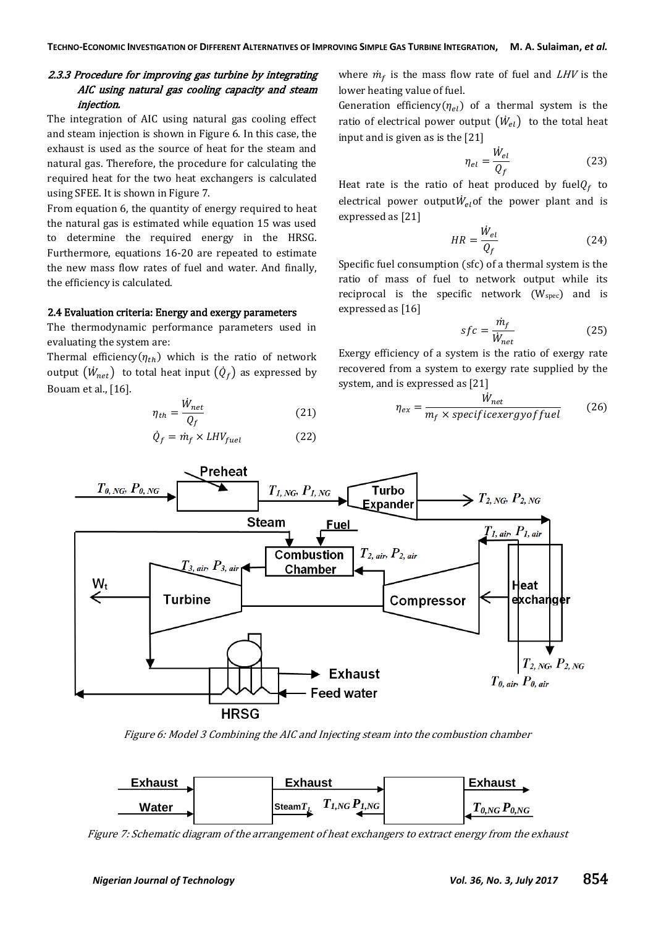## 2.3.3 Procedure for improving gas turbine by integrating AIC using natural gas cooling capacity and steam injection.

The integration of AIC using natural gas cooling effect and steam injection is shown in Figure 6. In this case, the exhaust is used as the source of heat for the steam and natural gas. Therefore, the procedure for calculating the required heat for the two heat exchangers is calculated using SFEE. It is shown in Figure 7.

From equation 6, the quantity of energy required to heat the natural gas is estimated while equation 15 was used to determine the required energy in the HRSG. Furthermore, equations 16-20 are repeated to estimate the new mass flow rates of fuel and water. And finally, the efficiency is calculated.

## 2.4 Evaluation criteria: Energy and exergy parameters

The thermodynamic performance parameters used in evaluating the system are:

Thermal efficiency( $\eta_{th}$ ) which is the ratio of network output  $(\dot{W}_{net})$  to total heat input  $(\dot{Q}_f)$  as expressed by Bouam et al., [16].

$$
\eta_{th} = \frac{\dot{W}_{net}}{Q_f} \tag{21}
$$

$$
\dot{Q}_f = \dot{m}_f \times LHV_{fuel} \tag{22}
$$

where  $\dot{m}_f$  is the mass flow rate of fuel and *LHV* is the lower heating value of fuel.

Generation efficiency( $\eta_{el}$ ) of a thermal system is the ratio of electrical power output  $\left(\dot{W}_{el}\right)$  to the total heat input and is given as is the [21]

$$
\eta_{el} = \frac{W_{el}}{Q_f} \tag{23}
$$

Heat rate is the ratio of heat produced by fuel $Q_f$  to electrical power output $W_{el}$  of the power plant and is expressed as [21]

$$
HR = \frac{\dot{W}_{el}}{Q_f} \tag{24}
$$

Specific fuel consumption (sfc) of a thermal system is the ratio of mass of fuel to network output while its reciprocal is the specific network  $(W_{spec})$  and is expressed as [16]

$$
sfc = \frac{\dot{m}_f}{\dot{W}_{net}}\tag{25}
$$

Exergy efficiency of a system is the ratio of exergy rate recovered from a system to exergy rate supplied by the system, and is expressed as [21]

$$
\eta_{ex} = \frac{\dot{W}_{net}}{m_f \times specificexergyoffuel}
$$
 (26)



Figure 6: Model 3 Combining the AIC and Injecting steam into the combustion chamber



Figure 7: Schematic diagram of the arrangement of heat exchangers to extract energy from the exhaust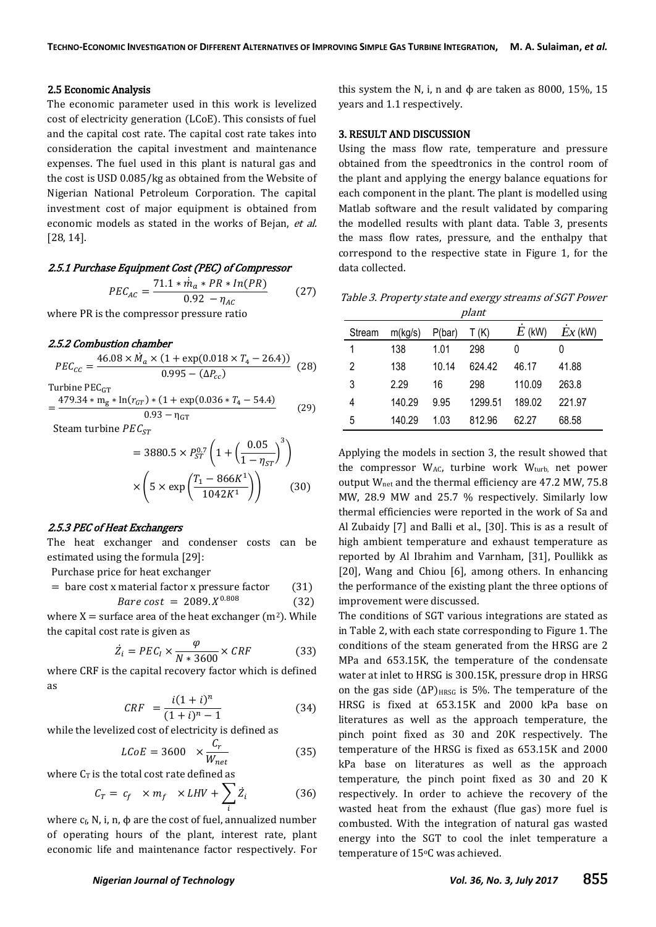#### 2.5 Economic Analysis

The economic parameter used in this work is levelized cost of electricity generation (LCoE). This consists of fuel and the capital cost rate. The capital cost rate takes into consideration the capital investment and maintenance expenses. The fuel used in this plant is natural gas and the cost is USD 0.085/kg as obtained from the Website of Nigerian National Petroleum Corporation. The capital investment cost of major equipment is obtained from economic models as stated in the works of Bejan, et al. [28, 14].

#### 2.5.1 Purchase Equipment Cost (PEC) of Compressor

$$
PEC_{AC} = \frac{71.1 * \dot{m}_a * PR * In(PR)}{0.92 - \eta_{AC}}
$$
 (27)

where PR is the compressor pressure ratio

#### 2.5.2 Combustion chamber

$$
PEC_{cc} = \frac{46.08 \times \dot{M}_a \times (1 + \exp(0.018 \times T_4 - 26.4))}{0.995 - (\Delta P_{cc})}
$$
 (28)

Turbine PEC<sub>GT</sub>

$$
=\frac{479.34 \times m_{g} \times \ln(r_{GT}) \times (1 + \exp(0.036 \times T_{4} - 54.4))}{0.93 - \eta_{GT}}
$$
(29)

Steam turbine  $PEC_{ST}$ 

$$
= 3880.5 \times P_{ST}^{0.7} \left( 1 + \left( \frac{0.05}{1 - \eta_{ST}} \right)^3 \right)
$$

$$
\times \left( 5 \times \exp\left( \frac{T_1 - 866K^1}{1042K^1} \right) \right) \tag{30}
$$

#### 2.5.3 PEC of Heat Exchangers

The heat exchanger and condenser costs can be estimated using the formula [29]:

Purchase price for heat exchanger

$$
= \text{bare cost x material factor x pressure factor} \qquad (31)
$$

$$
Bare \ cost = 2089. X^{0.808} \tag{32}
$$

where  $X =$  surface area of the heat exchanger ( $m<sup>2</sup>$ ). While the capital cost rate is given as

$$
\dot{Z}_i = PEC_I \times \frac{\varphi}{N * 3600} \times CRF \tag{33}
$$

where CRF is the capital recovery factor which is defined as

$$
CRF = \frac{i(1+i)^n}{(1+i)^n - 1} \tag{34}
$$

while the levelized cost of electricity is defined as

$$
LCoE = 3600 \times \frac{C_r}{W_{net}} \tag{35}
$$

where  $C_T$  is the total cost rate defined as

$$
C_T = c_f \times m_f \times LHV + \sum_i \dot{Z}_i \tag{36}
$$

where  $c_f$ , N, i, n,  $\phi$  are the cost of fuel, annualized number of operating hours of the plant, interest rate, plant economic life and maintenance factor respectively. For

this system the N, i, n and  $\phi$  are taken as 8000, 15%, 15 years and 1.1 respectively.

## 3. RESULT AND DISCUSSION

Using the mass flow rate, temperature and pressure obtained from the speedtronics in the control room of the plant and applying the energy balance equations for each component in the plant. The plant is modelled using Matlab software and the result validated by comparing the modelled results with plant data. Table 3, presents the mass flow rates, pressure, and the enthalpy that correspond to the respective state in Figure 1, for the data collected.

Table 3. Property state and exergy streams of SGT Power plant

| Stream | m(kg/s) | P(bar) | T(K)    | $E$ (kW) | $Ex$ (kW) |
|--------|---------|--------|---------|----------|-----------|
|        | 138     | 1.01   | 298     | 0        |           |
| 2      | 138     | 10.14  | 624.42  | 46.17    | 41.88     |
| 3      | 2.29    | 16     | 298     | 110.09   | 263.8     |
| 4      | 140.29  | 9.95   | 1299.51 | 189.02   | 221.97    |
| 5      | 140.29  | 1.03   | 812.96  | 62.27    | 68.58     |

Applying the models in section 3, the result showed that the compressor  $W_{AC}$ , turbine work  $W_{turb}$ , net power output Wnet and the thermal efficiency are 47.2 MW, 75.8 MW, 28.9 MW and 25.7 % respectively. Similarly low thermal efficiencies were reported in the work of Sa and Al Zubaidy [7] and Balli et al., [30]. This is as a result of high ambient temperature and exhaust temperature as reported by Al Ibrahim and Varnham, [31], Poullikk as [20], Wang and Chiou [6], among others. In enhancing the performance of the existing plant the three options of improvement were discussed.

The conditions of SGT various integrations are stated as in Table 2, with each state corresponding to Figure 1. The conditions of the steam generated from the HRSG are 2 MPa and 653.15K, the temperature of the condensate water at inlet to HRSG is 300.15K, pressure drop in HRSG on the gas side  $(\Delta P)_{H RSG}$  is 5%. The temperature of the HRSG is fixed at 653.15K and 2000 kPa base on literatures as well as the approach temperature, the pinch point fixed as 30 and 20K respectively. The temperature of the HRSG is fixed as 653.15K and 2000 kPa base on literatures as well as the approach temperature, the pinch point fixed as 30 and 20 K respectively. In order to achieve the recovery of the wasted heat from the exhaust (flue gas) more fuel is combusted. With the integration of natural gas wasted energy into the SGT to cool the inlet temperature a temperature of 15°C was achieved.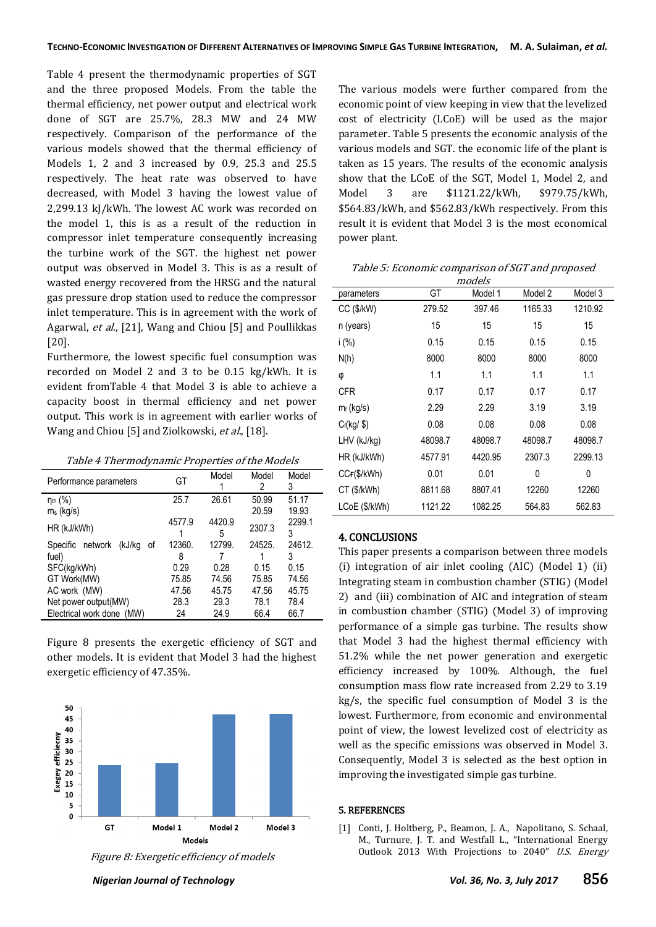Table 4 present the thermodynamic properties of SGT and the three proposed Models. From the table the thermal efficiency, net power output and electrical work done of SGT are 25.7%, 28.3 MW and 24 MW respectively. Comparison of the performance of the various models showed that the thermal efficiency of Models 1, 2 and 3 increased by 0.9, 25.3 and 25.5 respectively. The heat rate was observed to have decreased, with Model 3 having the lowest value of 2,299.13 kJ/kWh. The lowest AC work was recorded on the model 1, this is as a result of the reduction in compressor inlet temperature consequently increasing the turbine work of the SGT. the highest net power output was observed in Model 3. This is as a result of wasted energy recovered from the HRSG and the natural gas pressure drop station used to reduce the compressor inlet temperature. This is in agreement with the work of Agarwal, et al., [21], Wang and Chiou [5] and Poullikkas [20].

Furthermore, the lowest specific fuel consumption was recorded on Model 2 and 3 to be 0.15 kg/kWh. It is evident fromTable 4 that Model 3 is able to achieve a capacity boost in thermal efficiency and net power output. This work is in agreement with earlier works of Wang and Chiou [5] and Ziolkowski, et al., [18].

| Table 4 Thermodynamic Properties of the Models |  |  |  |
|------------------------------------------------|--|--|--|
|                                                |  |  |  |

| Performance parameters            | GT     | Model  | Model<br>2 | Model<br>3 |
|-----------------------------------|--------|--------|------------|------------|
| $\eta_{th}$ (%)                   | 25.7   | 26.61  | 50.99      | 51.17      |
| $m_s$ (kg/s)                      |        |        | 20.59      | 19.93      |
| HR (kJ/kWh)                       | 4577.9 | 4420.9 | 2307.3     | 2299.1     |
|                                   |        | 5      |            | 3          |
| Specific network<br>(kJ/kg<br>_of | 12360. | 12799. | 24525.     | 24612.     |
| fuel)                             | 8      |        |            | 3          |
| SFC(kg/kWh)                       | 0.29   | 0.28   | 0.15       | 0.15       |
| GT Work(MW)                       | 75.85  | 74.56  | 75.85      | 74.56      |
| AC work (MW)                      | 47.56  | 45.75  | 47.56      | 45.75      |
| Net power output(MW)              | 28.3   | 29.3   | 78.1       | 78.4       |
| Electrical work done (MW)         | 24     | 24.9   | 66.4       | 66.7       |

Figure 8 presents the exergetic efficiency of SGT and other models. It is evident that Model 3 had the highest exergetic efficiency of 47.35%.



Figure 8: Exergetic efficiency of models

The various models were further compared from the economic point of view keeping in view that the levelized cost of electricity (LCoE) will be used as the major parameter. Table 5 presents the economic analysis of the various models and SGT. the economic life of the plant is taken as 15 years. The results of the economic analysis show that the LCoE of the SGT, Model 1, Model 2, and Model 3 are \$1121.22/kWh, \$979.75/kWh, \$564.83/kWh, and \$562.83/kWh respectively. From this result it is evident that Model 3 is the most economical power plant.

Table 5: Economic comparison of SGT and proposed

| models                 |         |         |         |         |  |  |
|------------------------|---------|---------|---------|---------|--|--|
| parameters             | GT      | Model 1 | Model 2 | Model 3 |  |  |
| $CC$ ( $\frac{F}{W}$ ) | 279.52  | 397.46  | 1165.33 | 1210.92 |  |  |
| n (years)              | 15      | 15      | 15      | 15      |  |  |
| i(%)                   | 0.15    | 0.15    | 0.15    | 0.15    |  |  |
| N(h)                   | 8000    | 8000    | 8000    | 8000    |  |  |
| φ                      | 1.1     | 1.1     | 1.1     | 1.1     |  |  |
| <b>CFR</b>             | 0.17    | 0.17    | 0.17    | 0.17    |  |  |
| $m_f$ (kg/s)           | 2.29    | 2.29    | 3.19    | 3.19    |  |  |
| $C_f(kg/\$             | 0.08    | 0.08    | 0.08    | 0.08    |  |  |
| LHV (kJ/kg)            | 48098.7 | 48098.7 | 48098.7 | 48098.7 |  |  |
| HR (kJ/kWh)            | 4577.91 | 4420.95 | 2307.3  | 2299.13 |  |  |
| CCF(\$/kWh)            | 0.01    | 0.01    | 0       | 0       |  |  |
| CT (\$/kWh)            | 8811.68 | 8807.41 | 12260   | 12260   |  |  |
| LCoE (\$/kWh)          | 1121.22 | 1082.25 | 564.83  | 562.83  |  |  |

#### 4. CONCLUSIONS

This paper presents a comparison between three models (i) integration of air inlet cooling (AIC) (Model 1) (ii) Integrating steam in combustion chamber (STIG) (Model 2) and (iii) combination of AIC and integration of steam in combustion chamber (STIG) (Model 3) of improving performance of a simple gas turbine. The results show that Model 3 had the highest thermal efficiency with 51.2% while the net power generation and exergetic efficiency increased by 100%. Although, the fuel consumption mass flow rate increased from 2.29 to 3.19 kg/s, the specific fuel consumption of Model 3 is the lowest. Furthermore, from economic and environmental point of view, the lowest levelized cost of electricity as well as the specific emissions was observed in Model 3. Consequently, Model 3 is selected as the best option in improving the investigated simple gas turbine.

#### 5. REFERENCES

[1] Conti, J. Holtberg, P., Beamon, J. A., Napolitano, S. Schaal, M., Turnure, J. T. and Westfall L., "International Energy Outlook 2013 With Projections to 2040" U.S. Energy